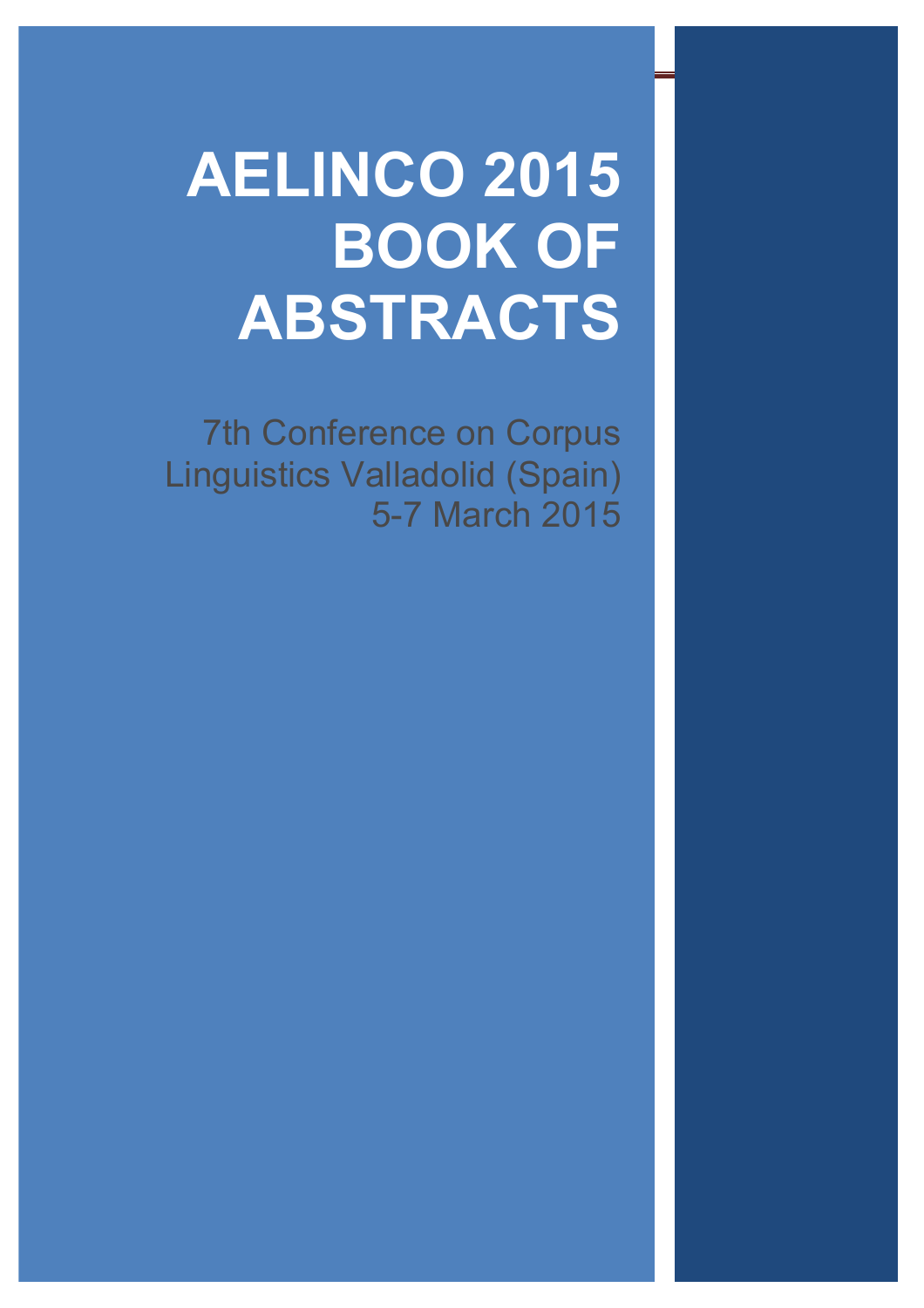# **AELINCO 2015 BOOK OF ABSTRACTS**

7th Conference on Corpus Linguistics Valladolid (Spain) 5-7 March 2015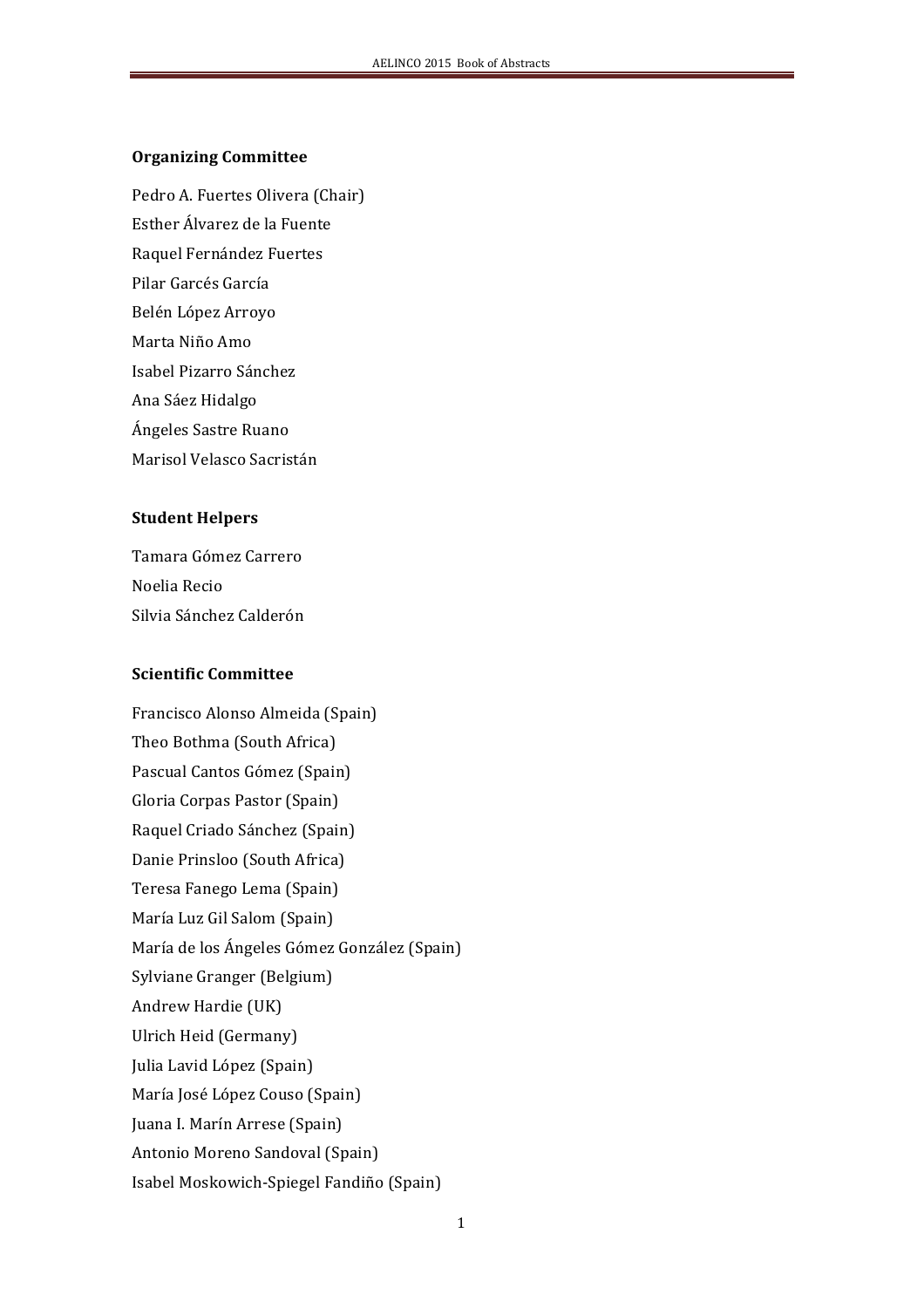#### **Organizing!Committee**

Pedro A. Fuertes Olivera (Chair)

Esther Álvarez de la Fuente

Raquel Fernández Fuertes

Pilar Garcés García

Belén López Arroyo

Marta Niño Amo

Isabel Pizarro Sánchez

Ana Sáez Hidalgo

Ángeles Sastre Ruano

Marisol Velasco Sacristán

### **Student!Helpers**

Tamara Gómez Carrero Noelia Recio Silvia Sánchez Calderón

# **Scientific!Committee**

Francisco Alonso Almeida (Spain) Theo Bothma (South Africa) Pascual Cantos Gómez (Spain) Gloria Corpas Pastor (Spain) Raquel Criado Sánchez (Spain) Danie Prinsloo (South Africa) Teresa Fanego Lema (Spain) María Luz Gil Salom (Spain) María de los Ángeles Gómez González (Spain) Sylviane Granger (Belgium) Andrew Hardie (UK) Ulrich Heid (Germany) Julia Lavid López (Spain) María José López Couso (Spain) Juana I. Marín Arrese (Spain) Antonio Moreno Sandoval (Spain) Isabel Moskowich-Spiegel Fandiño (Spain)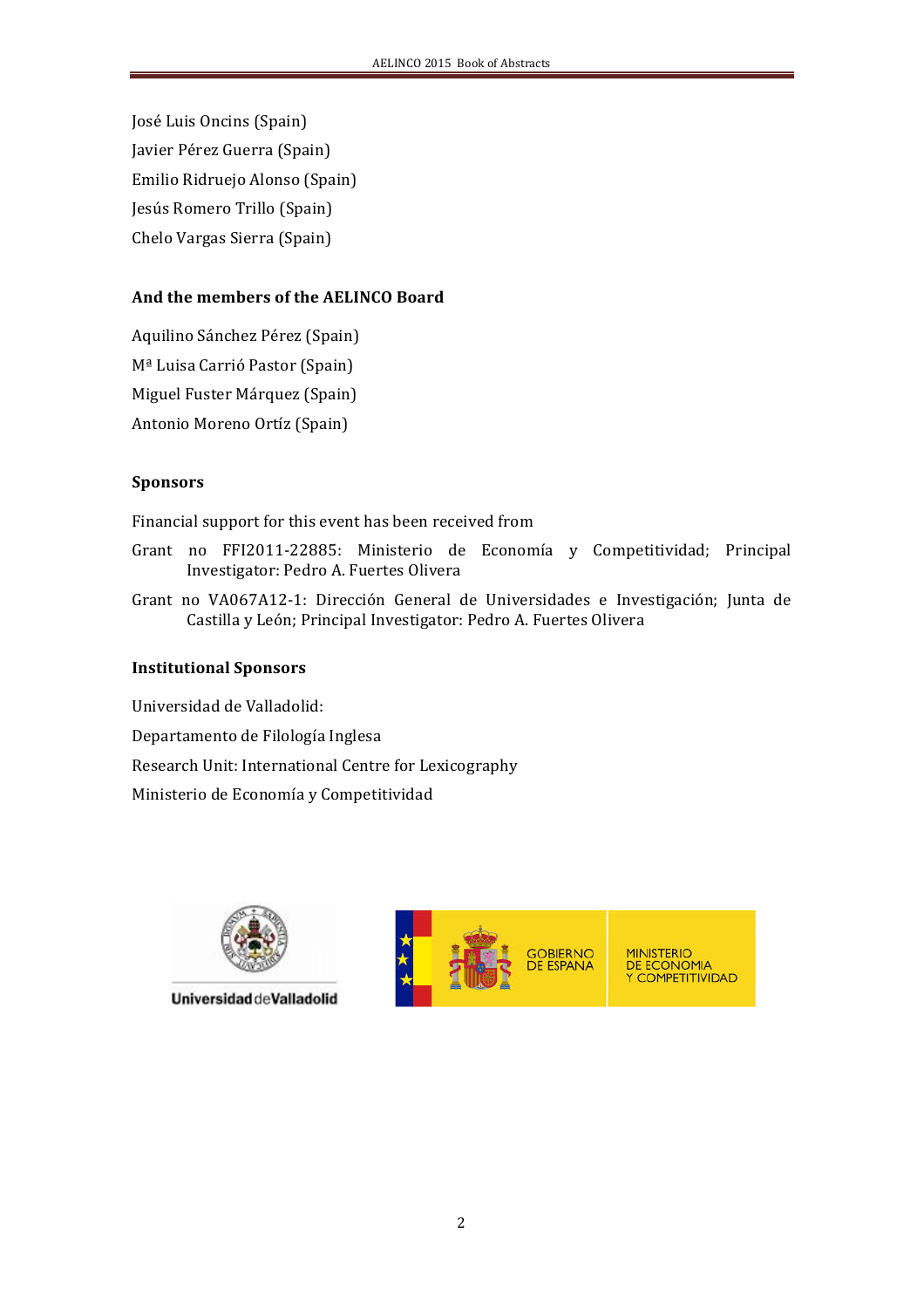José Luis Oncins (Spain) Javier Pérez Guerra (Spain) Emilio Ridruejo Alonso (Spain) Jesús Romero Trillo (Spain) Chelo Vargas Sierra (Spain)

## And the members of the **AELINCO** Board

Aquilino Sánchez Pérez (Spain) M<sup>ª</sup> Luisa Carrió Pastor (Spain) Miguel Fuster Márquez (Spain) Antonio Moreno Ortíz (Spain)

# **Sponsors**

Financial support for this event has been received from

- Grant no FFI2011-22885: Ministerio de Economía y Competitividad; Principal Investigator: Pedro A. Fuertes Olivera
- Grant no VA067A12-1: Dirección General de Universidades e Investigación; Junta de Castilla y León; Principal Investigator: Pedro A. Fuertes Olivera

#### **Institutional!Sponsors**

Universidad de Valladolid:

Departamento de Filología Inglesa

Research Unit: International Centre for Lexicography

Ministerio de Economía y Competitividad



Universidad de Valladolid

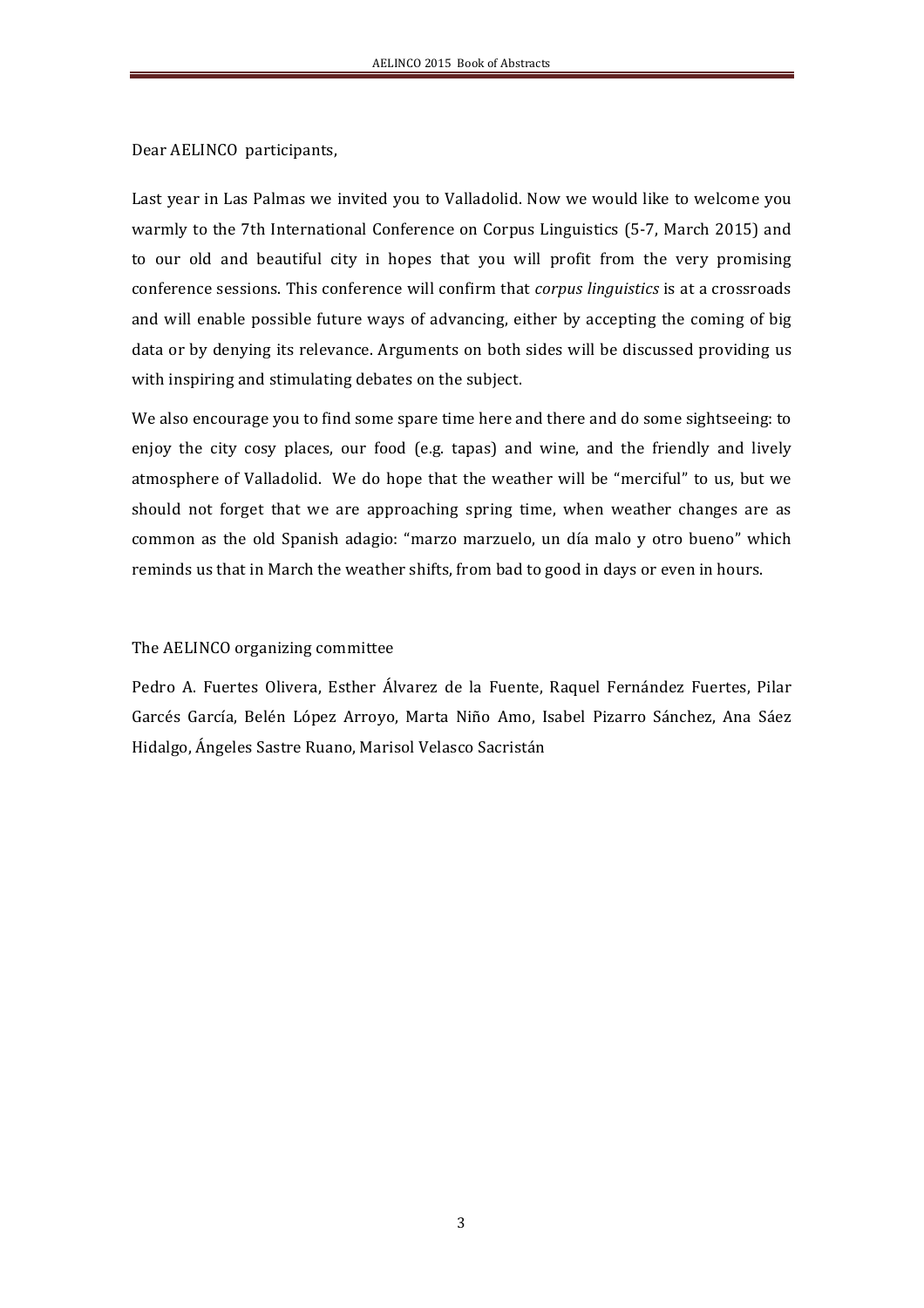Dear AELINCO participants,

Last year in Las Palmas we invited you to Valladolid. Now we would like to welcome you warmly to the 7th International Conference on Corpus Linguistics (5-7, March 2015) and to our old and beautiful city in hopes that you will profit from the very promising conference sessions. This conference will confirm that *corpus linguistics* is at a crossroads and will enable possible future ways of advancing, either by accepting the coming of big data or by denying its relevance. Arguments on both sides will be discussed providing us with inspiring and stimulating debates on the subject.

We also encourage you to find some spare time here and there and do some sightseeing: to enjoy the city cosy places, our food (e.g. tapas) and wine, and the friendly and lively atmosphere of Valladolid. We do hope that the weather will be "merciful" to us, but we should not forget that we are approaching spring time, when weather changes are as common as the old Spanish adagio: "marzo marzuelo, un día malo y otro bueno" which reminds us that in March the weather shifts, from bad to good in days or even in hours.

#### The AELINCO organizing committee

Pedro A. Fuertes Olivera, Esther Álvarez de la Fuente, Raquel Fernández Fuertes, Pilar Garcés García, Belén López Arroyo, Marta Niño Amo, Isabel Pizarro Sánchez, Ana Sáez Hidalgo, Ángeles Sastre Ruano, Marisol Velasco Sacristán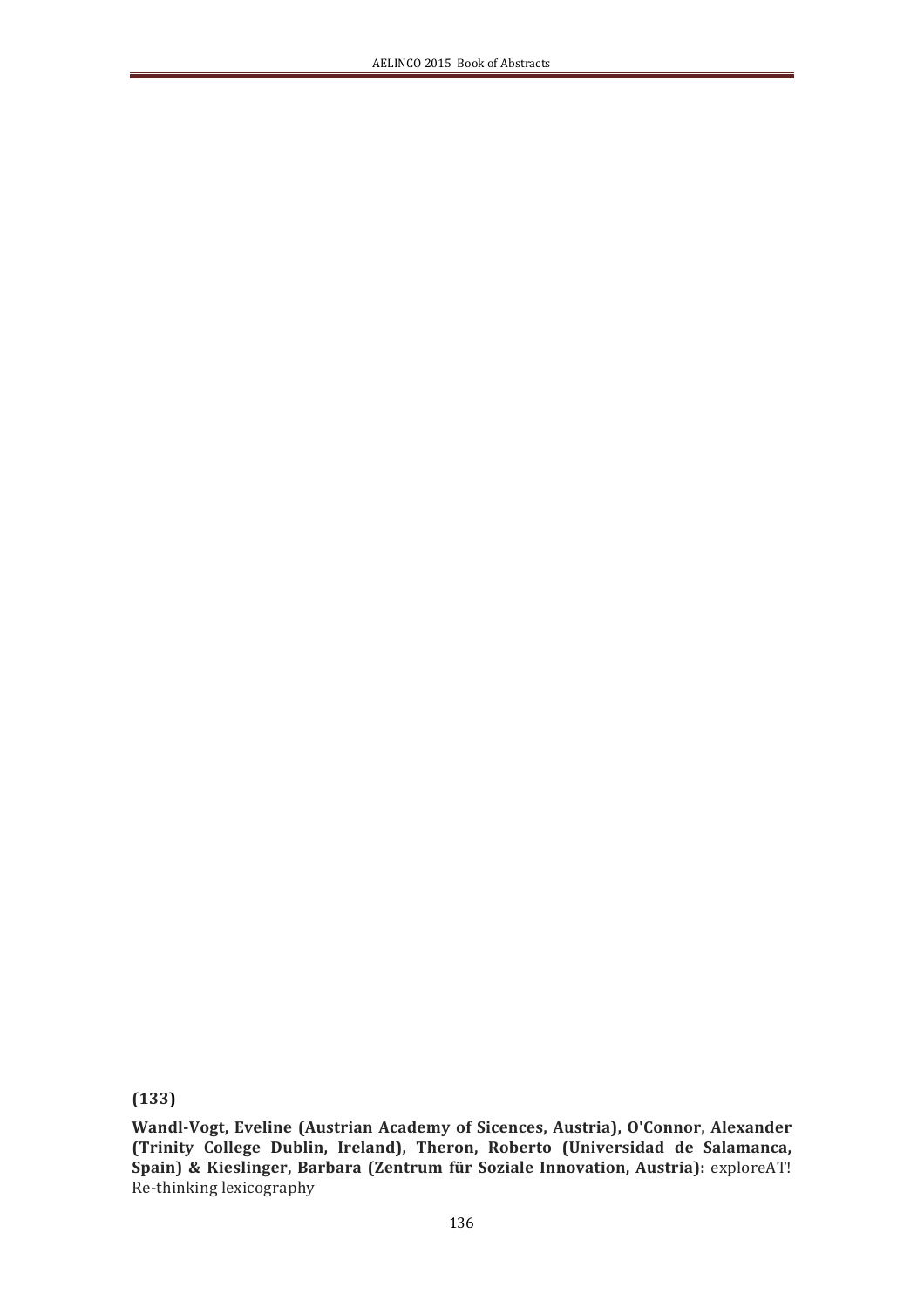**(133)!**

Wandl-Vogt, Eveline (Austrian Academy of Sicences, Austria), O'Connor, Alexander (Trinity College Dublin, Ireland), Theron, Roberto (Universidad de Salamanca, Spain) & Kieslinger, Barbara (Zentrum für Soziale Innovation, Austria): exploreAT! Re-thinking lexicography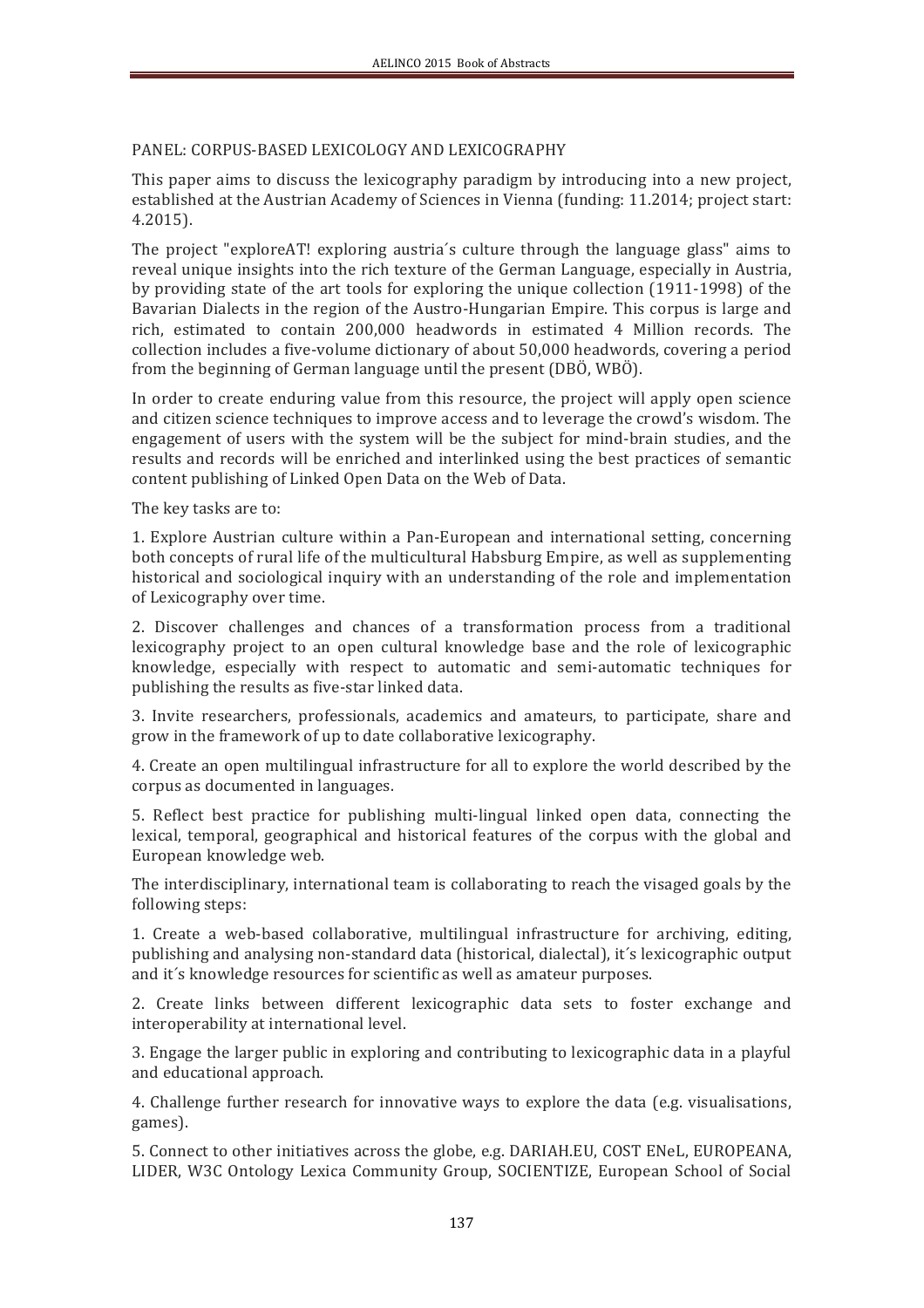#### PANEL: CORPUS-BASED LEXICOLOGY AND LEXICOGRAPHY

This paper aims to discuss the lexicography paradigm by introducing into a new project, established at the Austrian Academy of Sciences in Vienna (funding: 11.2014; project start: 4.2015).(

The project "exploreAT! exploring austria's culture through the language glass" aims to reveal unique insights into the rich texture of the German Language, especially in Austria, by providing state of the art tools for exploring the unique collection (1911-1998) of the Bavarian Dialects in the region of the Austro-Hungarian Empire. This corpus is large and rich, estimated to contain 200,000 headwords in estimated 4 Million records. The collection includes a five-volume dictionary of about  $50,000$  headwords, covering a period from the beginning of German language until the present (DBÖ, WBÖ).

In order to create enduring value from this resource, the project will apply open science and citizen science techniques to improve access and to leverage the crowd's wisdom. The engagement of users with the system will be the subject for mind-brain studies, and the results and records will be enriched and interlinked using the best practices of semantic content publishing of Linked Open Data on the Web of Data.

The key tasks are to:

1. Explore Austrian culture within a Pan-European and international setting, concerning both concepts of rural life of the multicultural Habsburg Empire, as well as supplementing historical and sociological inquiry with an understanding of the role and implementation of Lexicography over time.

2. Discover challenges and chances of a transformation process from a traditional lexicography project to an open cultural knowledge base and the role of lexicographic knowledge, especially with respect to automatic and semi-automatic techniques for publishing the results as five-star linked data.

3. Invite researchers, professionals, academics and amateurs, to participate, share and grow in the framework of up to date collaborative lexicography.

4. Create an open multilingual infrastructure for all to explore the world described by the corpus as documented in languages.

5. Reflect best practice for publishing multi-lingual linked open data, connecting the lexical, temporal, geographical and historical features of the corpus with the global and European knowledge web.

The interdisciplinary, international team is collaborating to reach the visaged goals by the following steps:

1. Create a web-based collaborative, multilingual infrastructure for archiving, editing, publishing and analysing non-standard data (historical, dialectal), it's lexicographic output and it's knowledge resources for scientific as well as amateur purposes.

2. Create links between different lexicographic data sets to foster exchange and interoperability at international level.

3. Engage the larger public in exploring and contributing to lexicographic data in a playful and educational approach.

4. Challenge further research for innovative ways to explore the data (e.g. visualisations, games).

5. Connect to other initiatives across the globe, e.g. DARIAH.EU, COST ENeL, EUROPEANA, LIDER, W3C Ontology Lexica Community Group, SOCIENTIZE, European School of Social